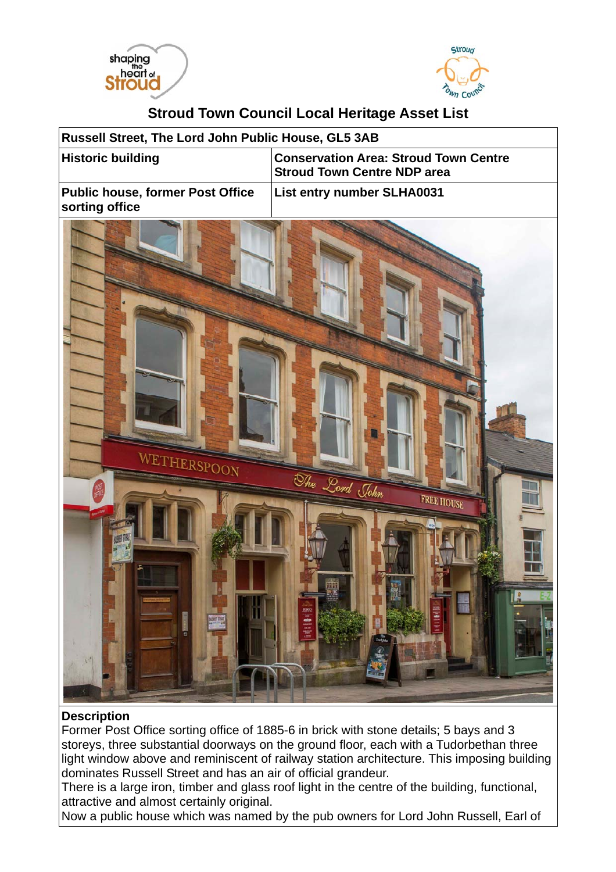



## **Stroud Town Council Local Heritage Asset List**

| Russell Street, The Lord John Public House, GL5 3AB       |                                                                                             |
|-----------------------------------------------------------|---------------------------------------------------------------------------------------------|
| <b>Historic building</b>                                  | <b>Conservation Area: Stroud Town Centre</b><br><b>Stroud Town Centre NDP area</b>          |
| <b>Public house, former Post Office</b><br>sorting office | List entry number SLHA0031                                                                  |
| WETHERSPOON<br>ö                                          | The Lord John<br><b>FREE HOUSE</b><br>m<br>时间<br>T-<br>5<br><b>India</b><br><b>Contract</b> |

## **Description**

Former Post Office sorting office of 1885-6 in brick with stone details; 5 bays and 3 storeys, three substantial doorways on the ground floor, each with a Tudorbethan three light window above and reminiscent of railway station architecture. This imposing building dominates Russell Street and has an air of official grandeur.

There is a large iron, timber and glass roof light in the centre of the building, functional, attractive and almost certainly original.

Now a public house which was named by the pub owners for Lord John Russell, Earl of